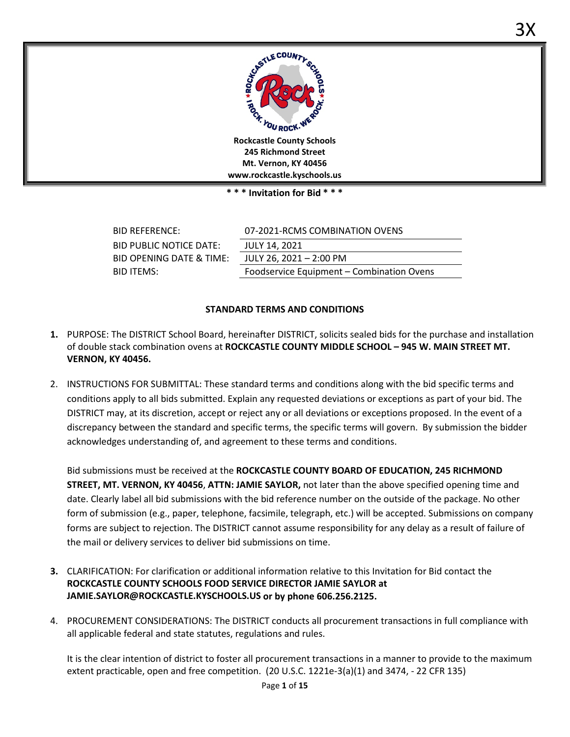

#### **\* \* \* Invitation for Bid \* \* \***

BID PUBLIC NOTICE DATE: JULY 14, 2021 BID OPENING DATE & TIME: JULY 26, 2021 – 2:00 PM

BID REFERENCE: 07-2021-RCMS COMBINATION OVENS BID ITEMS: Foodservice Equipment – Combination Ovens

#### **STANDARD TERMS AND CONDITIONS**

- **1.** PURPOSE: The DISTRICT School Board, hereinafter DISTRICT, solicits sealed bids for the purchase and installation of double stack combination ovens at **ROCKCASTLE COUNTY MIDDLE SCHOOL – 945 W. MAIN STREET MT. VERNON, KY 40456.**
- 2. INSTRUCTIONS FOR SUBMITTAL: These standard terms and conditions along with the bid specific terms and conditions apply to all bids submitted. Explain any requested deviations or exceptions as part of your bid. The DISTRICT may, at its discretion, accept or reject any or all deviations or exceptions proposed. In the event of a discrepancy between the standard and specific terms, the specific terms will govern. By submission the bidder acknowledges understanding of, and agreement to these terms and conditions.

Bid submissions must be received at the **ROCKCASTLE COUNTY BOARD OF EDUCATION, 245 RICHMOND STREET, MT. VERNON, KY 40456**, **ATTN: JAMIE SAYLOR,** not later than the above specified opening time and date. Clearly label all bid submissions with the bid reference number on the outside of the package. No other form of submission (e.g., paper, telephone, facsimile, telegraph, etc.) will be accepted. Submissions on company forms are subject to rejection. The DISTRICT cannot assume responsibility for any delay as a result of failure of the mail or delivery services to deliver bid submissions on time.

- **3.** CLARIFICATION: For clarification or additional information relative to this Invitation for Bid contact the **ROCKCASTLE COUNTY SCHOOLS FOOD SERVICE DIRECTOR JAMIE SAYLOR at JAMIE.SAYLOR@ROCKCASTLE.KYSCHOOLS.US or by phone 606.256.2125.**
- 4. PROCUREMENT CONSIDERATIONS: The DISTRICT conducts all procurement transactions in full compliance with all applicable federal and state statutes, regulations and rules.

It is the clear intention of district to foster all procurement transactions in a manner to provide to the maximum extent practicable, open and free competition. (20 U.S.C. 1221e-3(a)(1) and 3474, - 22 CFR 135)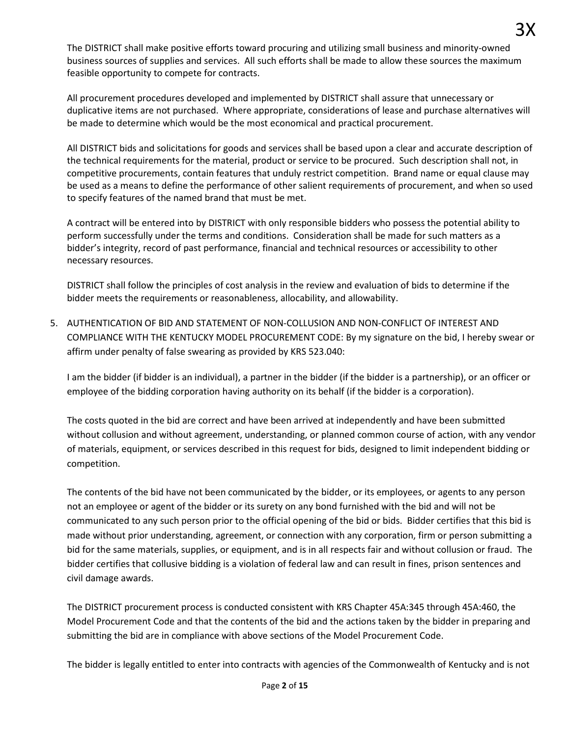The DISTRICT shall make positive efforts toward procuring and utilizing small business and minority-owned business sources of supplies and services. All such efforts shall be made to allow these sources the maximum feasible opportunity to compete for contracts.

All procurement procedures developed and implemented by DISTRICT shall assure that unnecessary or duplicative items are not purchased. Where appropriate, considerations of lease and purchase alternatives will be made to determine which would be the most economical and practical procurement.

All DISTRICT bids and solicitations for goods and services shall be based upon a clear and accurate description of the technical requirements for the material, product or service to be procured. Such description shall not, in competitive procurements, contain features that unduly restrict competition. Brand name or equal clause may be used as a means to define the performance of other salient requirements of procurement, and when so used to specify features of the named brand that must be met.

A contract will be entered into by DISTRICT with only responsible bidders who possess the potential ability to perform successfully under the terms and conditions. Consideration shall be made for such matters as a bidder's integrity, record of past performance, financial and technical resources or accessibility to other necessary resources.

DISTRICT shall follow the principles of cost analysis in the review and evaluation of bids to determine if the bidder meets the requirements or reasonableness, allocability, and allowability.

5. AUTHENTICATION OF BID AND STATEMENT OF NON-COLLUSION AND NON-CONFLICT OF INTEREST AND COMPLIANCE WITH THE KENTUCKY MODEL PROCUREMENT CODE: By my signature on the bid, I hereby swear or affirm under penalty of false swearing as provided by KRS 523.040:

I am the bidder (if bidder is an individual), a partner in the bidder (if the bidder is a partnership), or an officer or employee of the bidding corporation having authority on its behalf (if the bidder is a corporation).

The costs quoted in the bid are correct and have been arrived at independently and have been submitted without collusion and without agreement, understanding, or planned common course of action, with any vendor of materials, equipment, or services described in this request for bids, designed to limit independent bidding or competition.

The contents of the bid have not been communicated by the bidder, or its employees, or agents to any person not an employee or agent of the bidder or its surety on any bond furnished with the bid and will not be communicated to any such person prior to the official opening of the bid or bids. Bidder certifies that this bid is made without prior understanding, agreement, or connection with any corporation, firm or person submitting a bid for the same materials, supplies, or equipment, and is in all respects fair and without collusion or fraud. The bidder certifies that collusive bidding is a violation of federal law and can result in fines, prison sentences and civil damage awards.

The DISTRICT procurement process is conducted consistent with KRS Chapter 45A:345 through 45A:460, the Model Procurement Code and that the contents of the bid and the actions taken by the bidder in preparing and submitting the bid are in compliance with above sections of the Model Procurement Code.

The bidder is legally entitled to enter into contracts with agencies of the Commonwealth of Kentucky and is not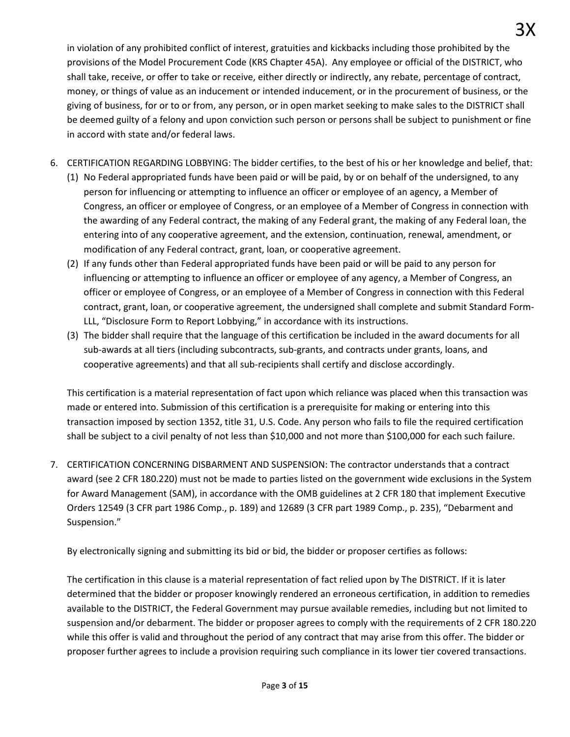in violation of any prohibited conflict of interest, gratuities and kickbacks including those prohibited by the provisions of the Model Procurement Code (KRS Chapter 45A). Any employee or official of the DISTRICT, who shall take, receive, or offer to take or receive, either directly or indirectly, any rebate, percentage of contract, money, or things of value as an inducement or intended inducement, or in the procurement of business, or the giving of business, for or to or from, any person, or in open market seeking to make sales to the DISTRICT shall be deemed guilty of a felony and upon conviction such person or persons shall be subject to punishment or fine in accord with state and/or federal laws.

- 6. CERTIFICATION REGARDING LOBBYING: The bidder certifies, to the best of his or her knowledge and belief, that:
	- (1) No Federal appropriated funds have been paid or will be paid, by or on behalf of the undersigned, to any person for influencing or attempting to influence an officer or employee of an agency, a Member of Congress, an officer or employee of Congress, or an employee of a Member of Congress in connection with the awarding of any Federal contract, the making of any Federal grant, the making of any Federal loan, the entering into of any cooperative agreement, and the extension, continuation, renewal, amendment, or modification of any Federal contract, grant, loan, or cooperative agreement.
	- (2) If any funds other than Federal appropriated funds have been paid or will be paid to any person for influencing or attempting to influence an officer or employee of any agency, a Member of Congress, an officer or employee of Congress, or an employee of a Member of Congress in connection with this Federal contract, grant, loan, or cooperative agreement, the undersigned shall complete and submit Standard Form-LLL, "Disclosure Form to Report Lobbying," in accordance with its instructions.
	- (3) The bidder shall require that the language of this certification be included in the award documents for all sub-awards at all tiers (including subcontracts, sub-grants, and contracts under grants, loans, and cooperative agreements) and that all sub-recipients shall certify and disclose accordingly.

This certification is a material representation of fact upon which reliance was placed when this transaction was made or entered into. Submission of this certification is a prerequisite for making or entering into this transaction imposed by section 1352, title 31, U.S. Code. Any person who fails to file the required certification shall be subject to a civil penalty of not less than \$10,000 and not more than \$100,000 for each such failure.

7. CERTIFICATION CONCERNING DISBARMENT AND SUSPENSION: The contractor understands that a contract award (see 2 CFR 180.220) must not be made to parties listed on the government wide exclusions in the System for Award Management (SAM), in accordance with the OMB guidelines at 2 CFR 180 that implement Executive Orders 12549 (3 CFR part 1986 Comp., p. 189) and 12689 (3 CFR part 1989 Comp., p. 235), "Debarment and Suspension."

By electronically signing and submitting its bid or bid, the bidder or proposer certifies as follows:

The certification in this clause is a material representation of fact relied upon by The DISTRICT. If it is later determined that the bidder or proposer knowingly rendered an erroneous certification, in addition to remedies available to the DISTRICT, the Federal Government may pursue available remedies, including but not limited to suspension and/or debarment. The bidder or proposer agrees to comply with the requirements of 2 CFR 180.220 while this offer is valid and throughout the period of any contract that may arise from this offer. The bidder or proposer further agrees to include a provision requiring such compliance in its lower tier covered transactions.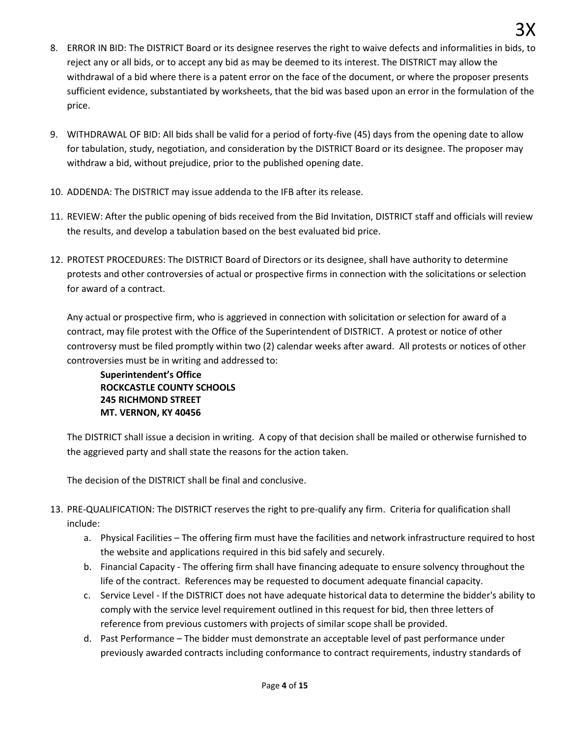- 8. ERROR IN BID: The DISTRICT Board or its designee reserves the right to waive defects and informalities in bids, to reject any or all bids, or to accept any bid as may be deemed to its interest. The DISTRICT may allow the withdrawal of a bid where there is a patent error on the face of the document, or where the proposer presents sufficient evidence, substantiated by worksheets, that the bid was based upon an error in the formulation of the price.
- 9. WITHDRAWAL OF BID: All bids shall be valid for a period of forty-five (45) days from the opening date to allow for tabulation, study, negotiation, and consideration by the DISTRICT Board or its designee. The proposer may withdraw a bid, without prejudice, prior to the published opening date.
- 10. ADDENDA: The DISTRICT may issue addenda to the IFB after its release.
- 11. REVIEW: After the public opening of bids received from the Bid Invitation, DISTRICT staff and officials will review the results, and develop a tabulation based on the best evaluated bid price.
- 12. PROTEST PROCEDURES: The DISTRICT Board of Directors or its designee, shall have authority to determine protests and other controversies of actual or prospective firms in connection with the solicitations or selection for award of a contract.

Any actual or prospective firm, who is aggrieved in connection with solicitation or selection for award of a contract, may file protest with the Office of the Superintendent of DISTRICT. A protest or notice of other controversy must be filed promptly within two (2) calendar weeks after award. All protests or notices of other controversies must be in writing and addressed to:

**Superintendent's Office ROCKCASTLE COUNTY SCHOOLS 245 RICHMOND STREET MT. VERNON, KY 40456**

The DISTRICT shall issue a decision in writing. A copy of that decision shall be mailed or otherwise furnished to the aggrieved party and shall state the reasons for the action taken.

The decision of the DISTRICT shall be final and conclusive.

- 13. PRE-QUALIFICATION: The DISTRICT reserves the right to pre-qualify any firm. Criteria for qualification shall include:
	- a. Physical Facilities The offering firm must have the facilities and network infrastructure required to host the website and applications required in this bid safely and securely.
	- b. Financial Capacity The offering firm shall have financing adequate to ensure solvency throughout the life of the contract. References may be requested to document adequate financial capacity.
	- c. Service Level If the DISTRICT does not have adequate historical data to determine the bidder's ability to comply with the service level requirement outlined in this request for bid, then three letters of reference from previous customers with projects of similar scope shall be provided.
	- d. Past Performance The bidder must demonstrate an acceptable level of past performance under previously awarded contracts including conformance to contract requirements, industry standards of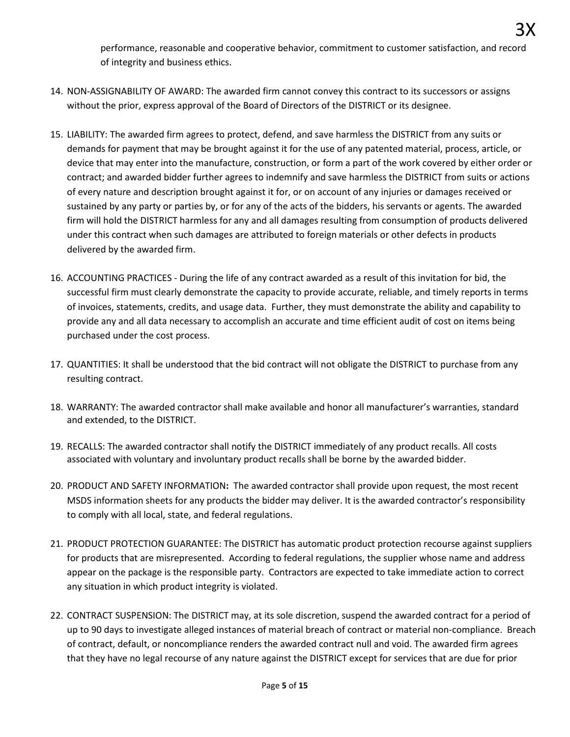performance, reasonable and cooperative behavior, commitment to customer satisfaction, and record of integrity and business ethics.

3X

- 14. NON-ASSIGNABILITY OF AWARD: The awarded firm cannot convey this contract to its successors or assigns without the prior, express approval of the Board of Directors of the DISTRICT or its designee.
- 15. LIABILITY: The awarded firm agrees to protect, defend, and save harmless the DISTRICT from any suits or demands for payment that may be brought against it for the use of any patented material, process, article, or device that may enter into the manufacture, construction, or form a part of the work covered by either order or contract; and awarded bidder further agrees to indemnify and save harmless the DISTRICT from suits or actions of every nature and description brought against it for, or on account of any injuries or damages received or sustained by any party or parties by, or for any of the acts of the bidders, his servants or agents. The awarded firm will hold the DISTRICT harmless for any and all damages resulting from consumption of products delivered under this contract when such damages are attributed to foreign materials or other defects in products delivered by the awarded firm.
- 16. ACCOUNTING PRACTICES During the life of any contract awarded as a result of this invitation for bid, the successful firm must clearly demonstrate the capacity to provide accurate, reliable, and timely reports in terms of invoices, statements, credits, and usage data. Further, they must demonstrate the ability and capability to provide any and all data necessary to accomplish an accurate and time efficient audit of cost on items being purchased under the cost process.
- 17. QUANTITIES: It shall be understood that the bid contract will not obligate the DISTRICT to purchase from any resulting contract.
- 18. WARRANTY: The awarded contractor shall make available and honor all manufacturer's warranties, standard and extended, to the DISTRICT.
- 19. RECALLS: The awarded contractor shall notify the DISTRICT immediately of any product recalls. All costs associated with voluntary and involuntary product recalls shall be borne by the awarded bidder.
- 20. PRODUCT AND SAFETY INFORMATION**:** The awarded contractor shall provide upon request, the most recent MSDS information sheets for any products the bidder may deliver. It is the awarded contractor's responsibility to comply with all local, state, and federal regulations.
- 21. PRODUCT PROTECTION GUARANTEE: The DISTRICT has automatic product protection recourse against suppliers for products that are misrepresented. According to federal regulations, the supplier whose name and address appear on the package is the responsible party. Contractors are expected to take immediate action to correct any situation in which product integrity is violated.
- 22. CONTRACT SUSPENSION: The DISTRICT may, at its sole discretion, suspend the awarded contract for a period of up to 90 days to investigate alleged instances of material breach of contract or material non-compliance. Breach of contract, default, or noncompliance renders the awarded contract null and void. The awarded firm agrees that they have no legal recourse of any nature against the DISTRICT except for services that are due for prior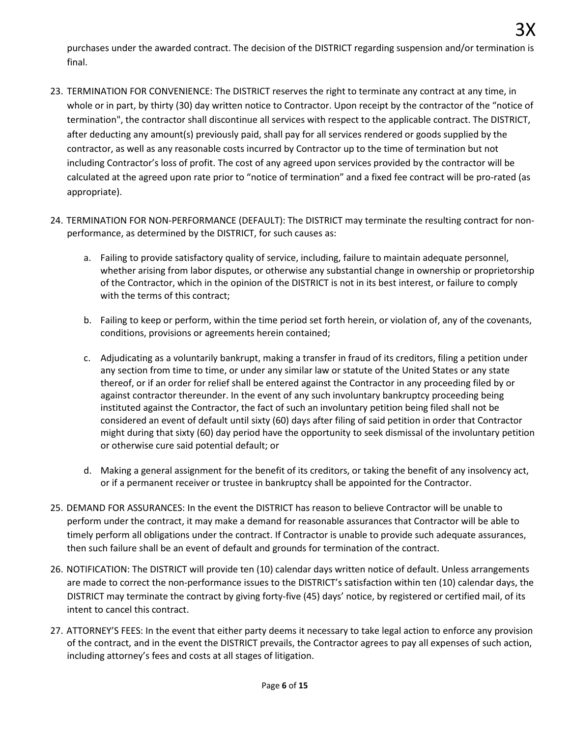purchases under the awarded contract. The decision of the DISTRICT regarding suspension and/or termination is final.

- 23. TERMINATION FOR CONVENIENCE: The DISTRICT reserves the right to terminate any contract at any time, in whole or in part, by thirty (30) day written notice to Contractor. Upon receipt by the contractor of the "notice of termination", the contractor shall discontinue all services with respect to the applicable contract. The DISTRICT, after deducting any amount(s) previously paid, shall pay for all services rendered or goods supplied by the contractor, as well as any reasonable costs incurred by Contractor up to the time of termination but not including Contractor's loss of profit. The cost of any agreed upon services provided by the contractor will be calculated at the agreed upon rate prior to "notice of termination" and a fixed fee contract will be pro-rated (as appropriate).
- 24. TERMINATION FOR NON-PERFORMANCE (DEFAULT): The DISTRICT may terminate the resulting contract for nonperformance, as determined by the DISTRICT, for such causes as:
	- a. Failing to provide satisfactory quality of service, including, failure to maintain adequate personnel, whether arising from labor disputes, or otherwise any substantial change in ownership or proprietorship of the Contractor, which in the opinion of the DISTRICT is not in its best interest, or failure to comply with the terms of this contract;
	- b. Failing to keep or perform, within the time period set forth herein, or violation of, any of the covenants, conditions, provisions or agreements herein contained;
	- c. Adjudicating as a voluntarily bankrupt, making a transfer in fraud of its creditors, filing a petition under any section from time to time, or under any similar law or statute of the United States or any state thereof, or if an order for relief shall be entered against the Contractor in any proceeding filed by or against contractor thereunder. In the event of any such involuntary bankruptcy proceeding being instituted against the Contractor, the fact of such an involuntary petition being filed shall not be considered an event of default until sixty (60) days after filing of said petition in order that Contractor might during that sixty (60) day period have the opportunity to seek dismissal of the involuntary petition or otherwise cure said potential default; or
	- d. Making a general assignment for the benefit of its creditors, or taking the benefit of any insolvency act, or if a permanent receiver or trustee in bankruptcy shall be appointed for the Contractor.
- 25. DEMAND FOR ASSURANCES: In the event the DISTRICT has reason to believe Contractor will be unable to perform under the contract, it may make a demand for reasonable assurances that Contractor will be able to timely perform all obligations under the contract. If Contractor is unable to provide such adequate assurances, then such failure shall be an event of default and grounds for termination of the contract.
- 26. NOTIFICATION: The DISTRICT will provide ten (10) calendar days written notice of default. Unless arrangements are made to correct the non-performance issues to the DISTRICT's satisfaction within ten (10) calendar days, the DISTRICT may terminate the contract by giving forty-five (45) days' notice, by registered or certified mail, of its intent to cancel this contract.
- 27. ATTORNEY'S FEES: In the event that either party deems it necessary to take legal action to enforce any provision of the contract, and in the event the DISTRICT prevails, the Contractor agrees to pay all expenses of such action, including attorney's fees and costs at all stages of litigation.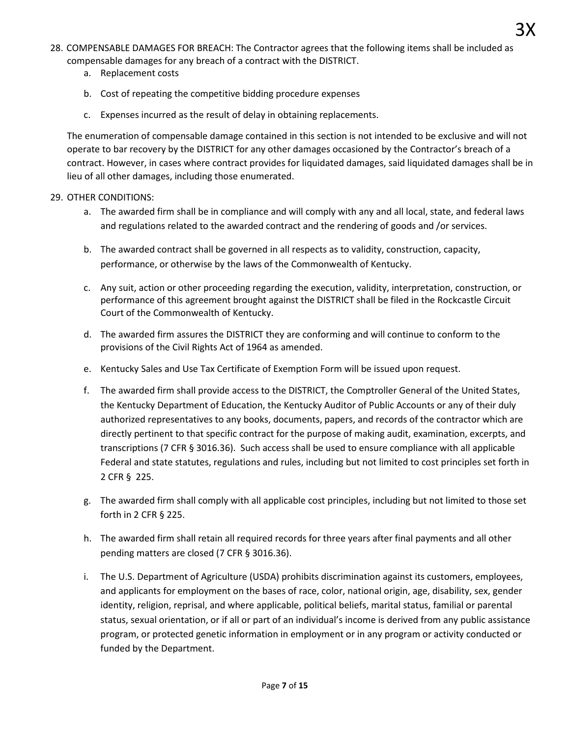## 28. COMPENSABLE DAMAGES FOR BREACH: The Contractor agrees that the following items shall be included as compensable damages for any breach of a contract with the DISTRICT.

- a. Replacement costs
- b. Cost of repeating the competitive bidding procedure expenses
- c. Expenses incurred as the result of delay in obtaining replacements.

The enumeration of compensable damage contained in this section is not intended to be exclusive and will not operate to bar recovery by the DISTRICT for any other damages occasioned by the Contractor's breach of a contract. However, in cases where contract provides for liquidated damages, said liquidated damages shall be in lieu of all other damages, including those enumerated.

#### 29. OTHER CONDITIONS:

- a. The awarded firm shall be in compliance and will comply with any and all local, state, and federal laws and regulations related to the awarded contract and the rendering of goods and /or services.
- b. The awarded contract shall be governed in all respects as to validity, construction, capacity, performance, or otherwise by the laws of the Commonwealth of Kentucky.
- c. Any suit, action or other proceeding regarding the execution, validity, interpretation, construction, or performance of this agreement brought against the DISTRICT shall be filed in the Rockcastle Circuit Court of the Commonwealth of Kentucky.
- d. The awarded firm assures the DISTRICT they are conforming and will continue to conform to the provisions of the Civil Rights Act of 1964 as amended.
- e. Kentucky Sales and Use Tax Certificate of Exemption Form will be issued upon request.
- f. The awarded firm shall provide access to the DISTRICT, the Comptroller General of the United States, the Kentucky Department of Education, the Kentucky Auditor of Public Accounts or any of their duly authorized representatives to any books, documents, papers, and records of the contractor which are directly pertinent to that specific contract for the purpose of making audit, examination, excerpts, and transcriptions (7 CFR § 3016.36). Such access shall be used to ensure compliance with all applicable Federal and state statutes, regulations and rules, including but not limited to cost principles set forth in 2 CFR § 225.
- g. The awarded firm shall comply with all applicable cost principles, including but not limited to those set forth in 2 CFR § 225.
- h. The awarded firm shall retain all required records for three years after final payments and all other pending matters are closed (7 CFR § 3016.36).
- i. The U.S. Department of Agriculture (USDA) prohibits discrimination against its customers, employees, and applicants for employment on the bases of race, color, national origin, age, disability, sex, gender identity, religion, reprisal, and where applicable, political beliefs, marital status, familial or parental status, sexual orientation, or if all or part of an individual's income is derived from any public assistance program, or protected genetic information in employment or in any program or activity conducted or funded by the Department.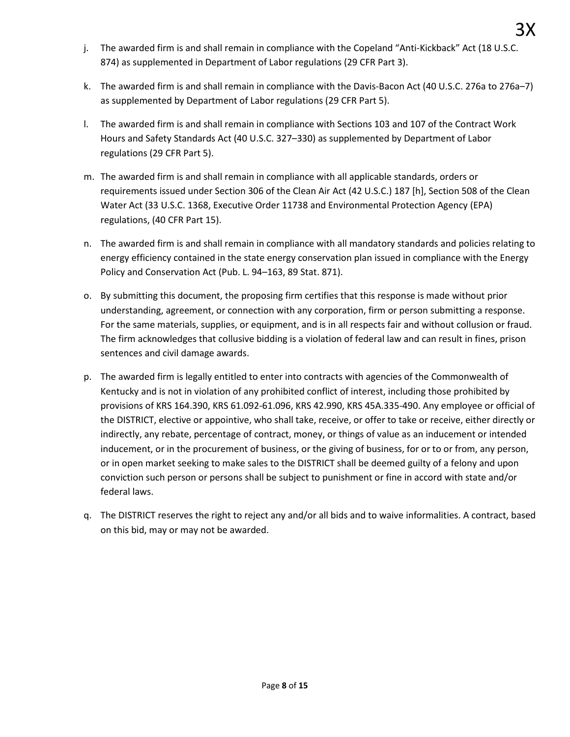- j. The awarded firm is and shall remain in compliance with the Copeland "Anti-Kickback" Act (18 U.S.C. 874) as supplemented in Department of Labor regulations (29 CFR Part 3).
- k. The awarded firm is and shall remain in compliance with the Davis-Bacon Act (40 U.S.C. 276a to 276a–7) as supplemented by Department of Labor regulations (29 CFR Part 5).
- l. The awarded firm is and shall remain in compliance with Sections 103 and 107 of the Contract Work Hours and Safety Standards Act (40 U.S.C. 327–330) as supplemented by Department of Labor regulations (29 CFR Part 5).
- m. The awarded firm is and shall remain in compliance with all applicable standards, orders or requirements issued under Section 306 of the Clean Air Act (42 U.S.C.) 187 [h], Section 508 of the Clean Water Act (33 U.S.C. 1368, Executive Order 11738 and Environmental Protection Agency (EPA) regulations, (40 CFR Part 15).
- n. The awarded firm is and shall remain in compliance with all mandatory standards and policies relating to energy efficiency contained in the state energy conservation plan issued in compliance with the Energy Policy and Conservation Act (Pub. L. 94–163, 89 Stat. 871).
- o. By submitting this document, the proposing firm certifies that this response is made without prior understanding, agreement, or connection with any corporation, firm or person submitting a response. For the same materials, supplies, or equipment, and is in all respects fair and without collusion or fraud. The firm acknowledges that collusive bidding is a violation of federal law and can result in fines, prison sentences and civil damage awards.
- p. The awarded firm is legally entitled to enter into contracts with agencies of the Commonwealth of Kentucky and is not in violation of any prohibited conflict of interest, including those prohibited by provisions of KRS 164.390, KRS 61.092-61.096, KRS 42.990, KRS 45A.335-490. Any employee or official of the DISTRICT, elective or appointive, who shall take, receive, or offer to take or receive, either directly or indirectly, any rebate, percentage of contract, money, or things of value as an inducement or intended inducement, or in the procurement of business, or the giving of business, for or to or from, any person, or in open market seeking to make sales to the DISTRICT shall be deemed guilty of a felony and upon conviction such person or persons shall be subject to punishment or fine in accord with state and/or federal laws.
- q. The DISTRICT reserves the right to reject any and/or all bids and to waive informalities. A contract, based on this bid, may or may not be awarded.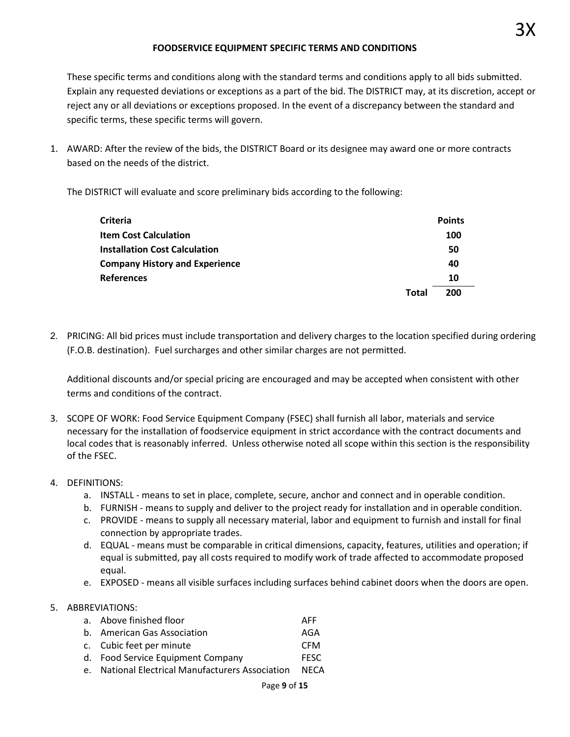## **FOODSERVICE EQUIPMENT SPECIFIC TERMS AND CONDITIONS**

These specific terms and conditions along with the standard terms and conditions apply to all bids submitted. Explain any requested deviations or exceptions as a part of the bid. The DISTRICT may, at its discretion, accept or reject any or all deviations or exceptions proposed. In the event of a discrepancy between the standard and specific terms, these specific terms will govern.

1. AWARD: After the review of the bids, the DISTRICT Board or its designee may award one or more contracts based on the needs of the district.

The DISTRICT will evaluate and score preliminary bids according to the following:

| <b>Criteria</b>                       |              | <b>Points</b> |
|---------------------------------------|--------------|---------------|
| <b>Item Cost Calculation</b>          |              | 100           |
| <b>Installation Cost Calculation</b>  |              | 50            |
| <b>Company History and Experience</b> |              | 40            |
| <b>References</b>                     |              | 10            |
|                                       | <b>Total</b> | 200           |

2. PRICING: All bid prices must include transportation and delivery charges to the location specified during ordering (F.O.B. destination). Fuel surcharges and other similar charges are not permitted.

Additional discounts and/or special pricing are encouraged and may be accepted when consistent with other terms and conditions of the contract.

3. SCOPE OF WORK: Food Service Equipment Company (FSEC) shall furnish all labor, materials and service necessary for the installation of foodservice equipment in strict accordance with the contract documents and local codes that is reasonably inferred. Unless otherwise noted all scope within this section is the responsibility of the FSEC.

# 4. DEFINITIONS:

- a. INSTALL means to set in place, complete, secure, anchor and connect and in operable condition.
- b. FURNISH means to supply and deliver to the project ready for installation and in operable condition.
- c. PROVIDE means to supply all necessary material, labor and equipment to furnish and install for final connection by appropriate trades.
- d. EQUAL means must be comparable in critical dimensions, capacity, features, utilities and operation; if equal is submitted, pay all costs required to modify work of trade affected to accommodate proposed equal.
- e. EXPOSED means all visible surfaces including surfaces behind cabinet doors when the doors are open.

# 5. ABBREVIATIONS:

|         | a. Above finished floor                              | <b>AFF</b>  |
|---------|------------------------------------------------------|-------------|
|         | b. American Gas Association                          | AGA         |
|         | c. Cubic feet per minute                             | <b>CFM</b>  |
|         | d. Food Service Equipment Company                    | <b>FESC</b> |
| $e_{1}$ | <b>National Electrical Manufacturers Association</b> | <b>NECA</b> |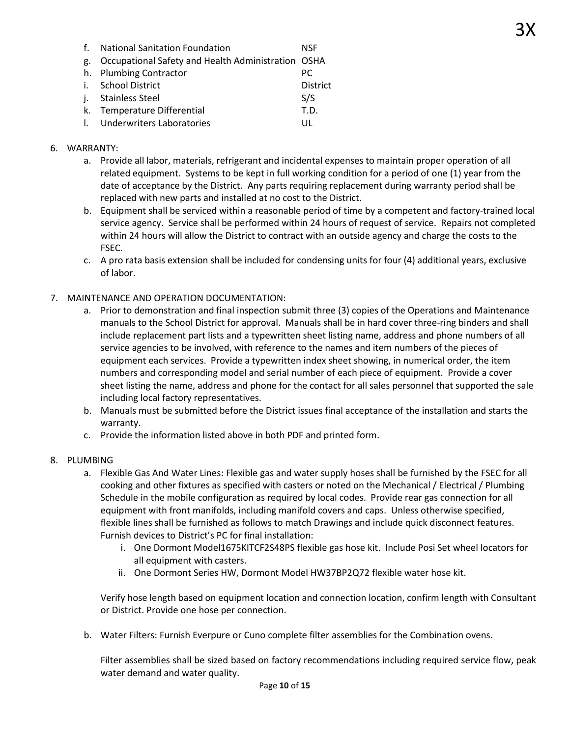|    | f. National Sanitation Foundation                  | <b>NSF</b>      |
|----|----------------------------------------------------|-----------------|
| g. | Occupational Safety and Health Administration OSHA |                 |
|    | h. Plumbing Contractor                             | PC.             |
|    | i. School District                                 | <b>District</b> |
|    | j. Stainless Steel                                 | S/S             |
|    | k. Temperature Differential                        | T.D.            |
|    | I. Underwriters Laboratories                       | UL              |

#### 6. WARRANTY:

- a. Provide all labor, materials, refrigerant and incidental expenses to maintain proper operation of all related equipment. Systems to be kept in full working condition for a period of one (1) year from the date of acceptance by the District. Any parts requiring replacement during warranty period shall be replaced with new parts and installed at no cost to the District.
- b. Equipment shall be serviced within a reasonable period of time by a competent and factory-trained local service agency. Service shall be performed within 24 hours of request of service. Repairs not completed within 24 hours will allow the District to contract with an outside agency and charge the costs to the FSEC.
- c. A pro rata basis extension shall be included for condensing units for four (4) additional years, exclusive of labor.

## 7. MAINTENANCE AND OPERATION DOCUMENTATION:

- a. Prior to demonstration and final inspection submit three (3) copies of the Operations and Maintenance manuals to the School District for approval. Manuals shall be in hard cover three-ring binders and shall include replacement part lists and a typewritten sheet listing name, address and phone numbers of all service agencies to be involved, with reference to the names and item numbers of the pieces of equipment each services. Provide a typewritten index sheet showing, in numerical order, the item numbers and corresponding model and serial number of each piece of equipment. Provide a cover sheet listing the name, address and phone for the contact for all sales personnel that supported the sale including local factory representatives.
- b. Manuals must be submitted before the District issues final acceptance of the installation and starts the warranty.
- c. Provide the information listed above in both PDF and printed form.

#### 8. PLUMBING

- a. Flexible Gas And Water Lines: Flexible gas and water supply hoses shall be furnished by the FSEC for all cooking and other fixtures as specified with casters or noted on the Mechanical / Electrical / Plumbing Schedule in the mobile configuration as required by local codes. Provide rear gas connection for all equipment with front manifolds, including manifold covers and caps. Unless otherwise specified, flexible lines shall be furnished as follows to match Drawings and include quick disconnect features. Furnish devices to District's PC for final installation:
	- i. One Dormont Model1675KITCF2S48PS flexible gas hose kit. Include Posi Set wheel locators for all equipment with casters.
	- ii. One Dormont Series HW, Dormont Model HW37BP2Q72 flexible water hose kit.

Verify hose length based on equipment location and connection location, confirm length with Consultant or District. Provide one hose per connection.

b. Water Filters: Furnish Everpure or Cuno complete filter assemblies for the Combination ovens.

Filter assemblies shall be sized based on factory recommendations including required service flow, peak water demand and water quality.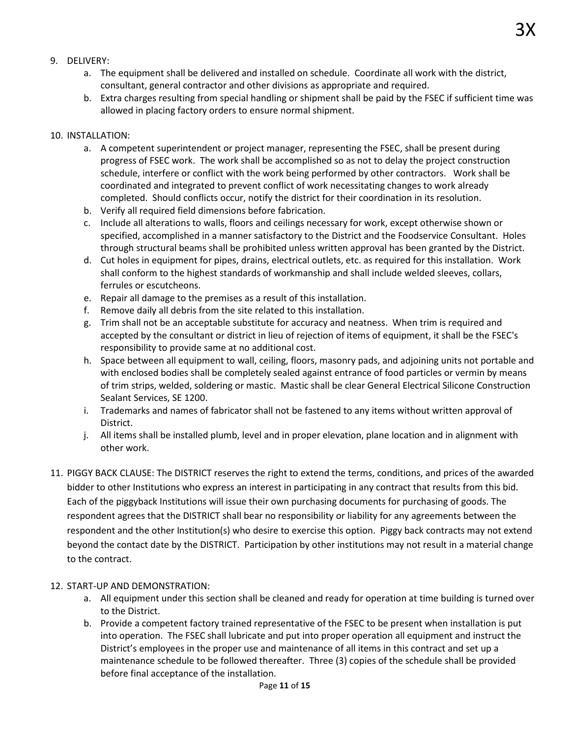# 9. DELIVERY:

- a. The equipment shall be delivered and installed on schedule. Coordinate all work with the district, consultant, general contractor and other divisions as appropriate and required.
- b. Extra charges resulting from special handling or shipment shall be paid by the FSEC if sufficient time was allowed in placing factory orders to ensure normal shipment.

#### 10. INSTALLATION:

- a. A competent superintendent or project manager, representing the FSEC, shall be present during progress of FSEC work. The work shall be accomplished so as not to delay the project construction schedule, interfere or conflict with the work being performed by other contractors. Work shall be coordinated and integrated to prevent conflict of work necessitating changes to work already completed. Should conflicts occur, notify the district for their coordination in its resolution.
- b. Verify all required field dimensions before fabrication.
- c. Include all alterations to walls, floors and ceilings necessary for work, except otherwise shown or specified, accomplished in a manner satisfactory to the District and the Foodservice Consultant. Holes through structural beams shall be prohibited unless written approval has been granted by the District.
- d. Cut holes in equipment for pipes, drains, electrical outlets, etc. as required for this installation. Work shall conform to the highest standards of workmanship and shall include welded sleeves, collars, ferrules or escutcheons.
- e. Repair all damage to the premises as a result of this installation.
- f. Remove daily all debris from the site related to this installation.
- g. Trim shall not be an acceptable substitute for accuracy and neatness. When trim is required and accepted by the consultant or district in lieu of rejection of items of equipment, it shall be the FSEC's responsibility to provide same at no additional cost.
- h. Space between all equipment to wall, ceiling, floors, masonry pads, and adjoining units not portable and with enclosed bodies shall be completely sealed against entrance of food particles or vermin by means of trim strips, welded, soldering or mastic. Mastic shall be clear General Electrical Silicone Construction Sealant Services, SE 1200.
- i. Trademarks and names of fabricator shall not be fastened to any items without written approval of District.
- j. All items shall be installed plumb, level and in proper elevation, plane location and in alignment with other work.
- 11. PIGGY BACK CLAUSE: The DISTRICT reserves the right to extend the terms, conditions, and prices of the awarded bidder to other Institutions who express an interest in participating in any contract that results from this bid. Each of the piggyback Institutions will issue their own purchasing documents for purchasing of goods. The respondent agrees that the DISTRICT shall bear no responsibility or liability for any agreements between the respondent and the other Institution(s) who desire to exercise this option. Piggy back contracts may not extend beyond the contact date by the DISTRICT. Participation by other institutions may not result in a material change to the contract.

#### 12. START-UP AND DEMONSTRATION:

- a. All equipment under this section shall be cleaned and ready for operation at time building is turned over to the District.
- b. Provide a competent factory trained representative of the FSEC to be present when installation is put into operation. The FSEC shall lubricate and put into proper operation all equipment and instruct the District's employees in the proper use and maintenance of all items in this contract and set up a maintenance schedule to be followed thereafter. Three (3) copies of the schedule shall be provided before final acceptance of the installation.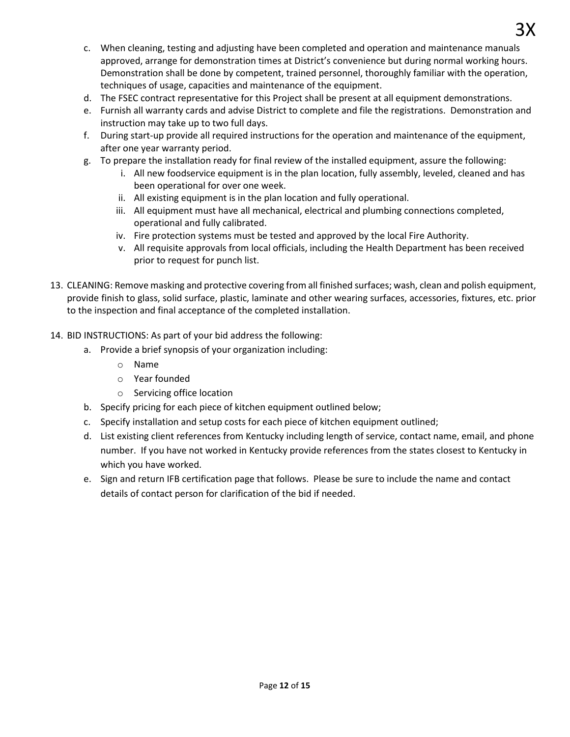- c. When cleaning, testing and adjusting have been completed and operation and maintenance manuals approved, arrange for demonstration times at District's convenience but during normal working hours. Demonstration shall be done by competent, trained personnel, thoroughly familiar with the operation, techniques of usage, capacities and maintenance of the equipment.
- d. The FSEC contract representative for this Project shall be present at all equipment demonstrations.
- e. Furnish all warranty cards and advise District to complete and file the registrations. Demonstration and instruction may take up to two full days.
- f. During start-up provide all required instructions for the operation and maintenance of the equipment, after one year warranty period.
- g. To prepare the installation ready for final review of the installed equipment, assure the following:
	- i. All new foodservice equipment is in the plan location, fully assembly, leveled, cleaned and has been operational for over one week.
	- ii. All existing equipment is in the plan location and fully operational.
	- iii. All equipment must have all mechanical, electrical and plumbing connections completed, operational and fully calibrated.
	- iv. Fire protection systems must be tested and approved by the local Fire Authority.
	- v. All requisite approvals from local officials, including the Health Department has been received prior to request for punch list.
- 13. CLEANING: Remove masking and protective covering from all finished surfaces; wash, clean and polish equipment, provide finish to glass, solid surface, plastic, laminate and other wearing surfaces, accessories, fixtures, etc. prior to the inspection and final acceptance of the completed installation.
- 14. BID INSTRUCTIONS: As part of your bid address the following:
	- a. Provide a brief synopsis of your organization including:
		- o Name
		- o Year founded
		- o Servicing office location
	- b. Specify pricing for each piece of kitchen equipment outlined below;
	- c. Specify installation and setup costs for each piece of kitchen equipment outlined;
	- d. List existing client references from Kentucky including length of service, contact name, email, and phone number. If you have not worked in Kentucky provide references from the states closest to Kentucky in which you have worked.
	- e. Sign and return IFB certification page that follows. Please be sure to include the name and contact details of contact person for clarification of the bid if needed.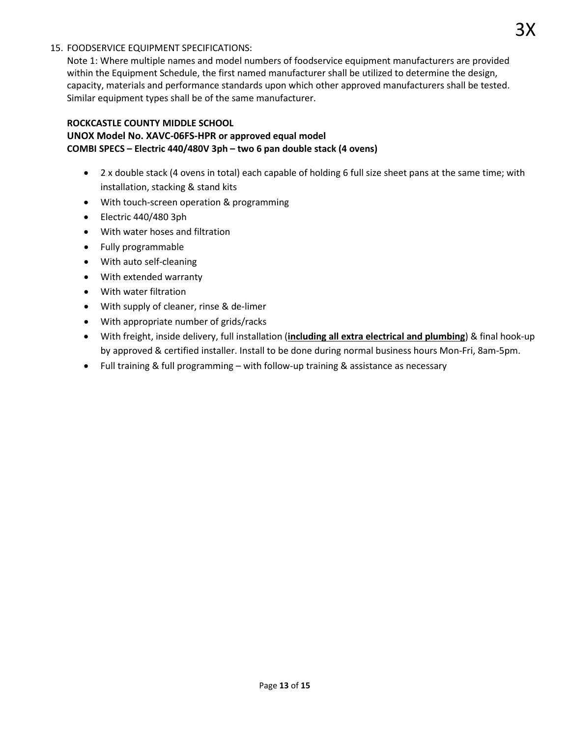### 15. FOODSERVICE EQUIPMENT SPECIFICATIONS:

Note 1: Where multiple names and model numbers of foodservice equipment manufacturers are provided within the Equipment Schedule, the first named manufacturer shall be utilized to determine the design, capacity, materials and performance standards upon which other approved manufacturers shall be tested. Similar equipment types shall be of the same manufacturer.

#### **ROCKCASTLE COUNTY MIDDLE SCHOOL UNOX Model No. XAVC‐06FS‐HPR or approved equal model COMBI SPECS – Electric 440/480V 3ph – two 6 pan double stack (4 ovens)**

- 2 x double stack (4 ovens in total) each capable of holding 6 full size sheet pans at the same time; with installation, stacking & stand kits
- With touch-screen operation & programming
- Electric 440/480 3ph
- With water hoses and filtration
- Fully programmable
- With auto self-cleaning
- With extended warranty
- With water filtration
- With supply of cleaner, rinse & de-limer
- With appropriate number of grids/racks
- With freight, inside delivery, full installation (**including all extra electrical and plumbing**) & final hook-up by approved & certified installer. Install to be done during normal business hours Mon-Fri, 8am-5pm.
- Full training & full programming with follow-up training & assistance as necessary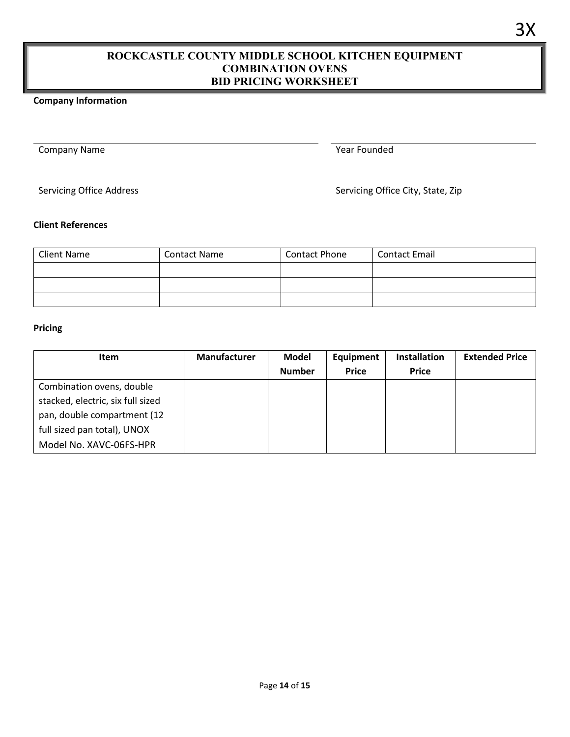# **ROCKCASTLE COUNTY MIDDLE SCHOOL KITCHEN EQUIPMENT COMBINATION OVENS BID PRICING WORKSHEET**

# **Company Information**

Company Name Year Founded

Servicing Office Address Servicing Office City, State, Zip

#### **Client References**

| <b>Client Name</b> | <b>Contact Name</b> | <b>Contact Phone</b> | <b>Contact Email</b> |
|--------------------|---------------------|----------------------|----------------------|
|                    |                     |                      |                      |
|                    |                     |                      |                      |
|                    |                     |                      |                      |

### **Pricing**

| Item                              | <b>Manufacturer</b> | Model         | Equipment    | <b>Installation</b> | <b>Extended Price</b> |
|-----------------------------------|---------------------|---------------|--------------|---------------------|-----------------------|
|                                   |                     | <b>Number</b> | <b>Price</b> | <b>Price</b>        |                       |
| Combination ovens, double         |                     |               |              |                     |                       |
| stacked, electric, six full sized |                     |               |              |                     |                       |
| pan, double compartment (12       |                     |               |              |                     |                       |
| full sized pan total), UNOX       |                     |               |              |                     |                       |
| Model No. XAVC-06FS-HPR           |                     |               |              |                     |                       |